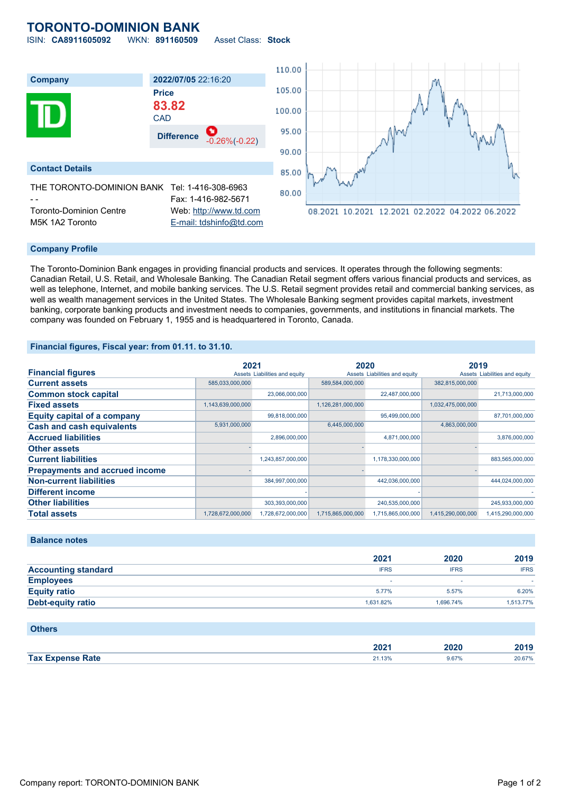# **TORONTO-DOMINION BANK** ISIN: **CA8911605092** WKN: **891160509** Asset Class: **Stock**

110.00 **Company 2022/07/05** 22:16:20 105.00 **Price 83.82** 100.00 **CAD** 95.00 **Difference** -0.26%(-0.22) 90.00 **Contact Details** 85.00 THE TORONTO-DOMINION BANK Tel: 1-416-308-6963 80.00 Fax: 1-416-982-5671 Toronto-Dominion Centre Web: [http://www.td.com](http://www.td.com/) 08.2021 10.2021 12.2021 02.2022 04.2022 06.2022 M5K 1A2 Toronto [E-mail: tdshinfo@td.com](mailto:tdshinfo@td.com)

### **Company Profile**

The Toronto-Dominion Bank engages in providing financial products and services. It operates through the following segments: Canadian Retail, U.S. Retail, and Wholesale Banking. The Canadian Retail segment offers various financial products and services, as well as telephone, Internet, and mobile banking services. The U.S. Retail segment provides retail and commercial banking services, as well as wealth management services in the United States. The Wholesale Banking segment provides capital markets, investment banking, corporate banking products and investment needs to companies, governments, and institutions in financial markets. The company was founded on February 1, 1955 and is headquartered in Toronto, Canada.

#### **Financial figures, Fiscal year: from 01.11. to 31.10.**

|                                       | 2021              |                               | 2020              |                               | 2019              |                               |
|---------------------------------------|-------------------|-------------------------------|-------------------|-------------------------------|-------------------|-------------------------------|
| <b>Financial figures</b>              |                   | Assets Liabilities and equity |                   | Assets Liabilities and equity |                   | Assets Liabilities and equity |
| <b>Current assets</b>                 | 585,033,000,000   |                               | 589,584,000,000   |                               | 382,815,000,000   |                               |
| <b>Common stock capital</b>           |                   | 23,066,000,000                |                   | 22,487,000,000                |                   | 21,713,000,000                |
| <b>Fixed assets</b>                   | 1,143,639,000,000 |                               | 1,126,281,000,000 |                               | 1,032,475,000,000 |                               |
| <b>Equity capital of a company</b>    |                   | 99,818,000,000                |                   | 95,499,000,000                |                   | 87,701,000,000                |
| <b>Cash and cash equivalents</b>      | 5,931,000,000     |                               | 6,445,000,000     |                               | 4,863,000,000     |                               |
| <b>Accrued liabilities</b>            |                   | 2,896,000,000                 |                   | 4,871,000,000                 |                   | 3,876,000,000                 |
| <b>Other assets</b>                   |                   |                               |                   |                               |                   |                               |
| <b>Current liabilities</b>            |                   | 1,243,857,000,000             |                   | 1,178,330,000,000             |                   | 883,565,000,000               |
| <b>Prepayments and accrued income</b> |                   |                               |                   |                               |                   |                               |
| <b>Non-current liabilities</b>        |                   | 384,997,000,000               |                   | 442,036,000,000               |                   | 444,024,000,000               |
| <b>Different income</b>               |                   |                               |                   |                               |                   |                               |
| <b>Other liabilities</b>              |                   | 303,393,000,000               |                   | 240,535,000,000               |                   | 245,933,000,000               |
| <b>Total assets</b>                   | 1,728,672,000,000 | 1,728,672,000,000             | 1,715,865,000,000 | 1,715,865,000,000             | 1,415,290,000,000 | 1,415,290,000,000             |

## **Balance notes**

|                            | 2021        | 2020        | 2019        |
|----------------------------|-------------|-------------|-------------|
| <b>Accounting standard</b> | <b>IFRS</b> | <b>IFRS</b> | <b>IFRS</b> |
| <b>Employees</b>           |             |             |             |
| <b>Equity ratio</b>        | 5.77%       | 5.57%       | 6.20%       |
| <b>Debt-equity ratio</b>   | 1.631.82%   | 1.696.74%   | 1,513.77%   |

#### **Others**

|                               | מחמ<br>ZUZ L      | ZUZU<br>_____ | 2019<br>20 I J |
|-------------------------------|-------------------|---------------|----------------|
| <b>Expanse Rate</b><br>Tax E. | 21 120<br>21.1970 | 9.67%         | 20.67%         |